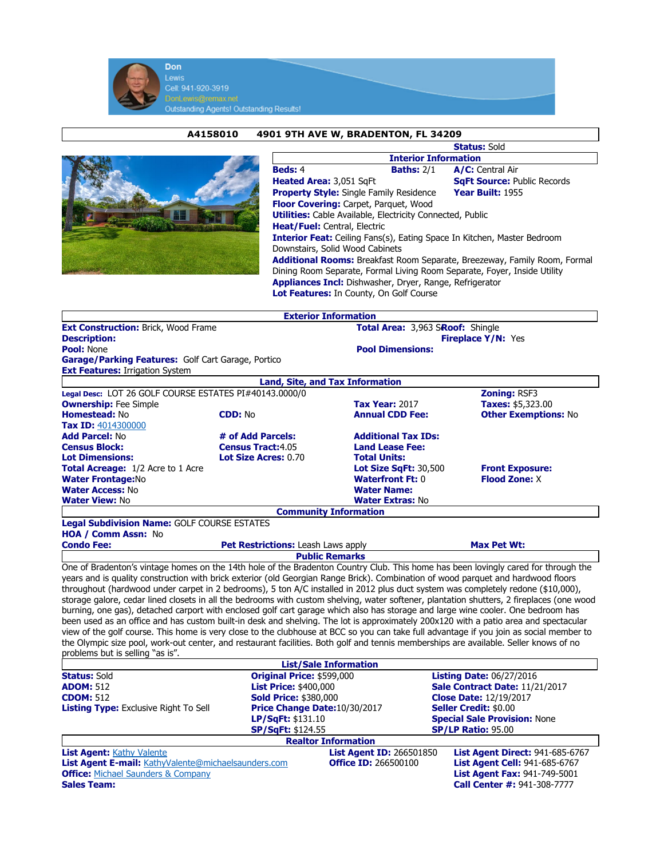

## A4158010 4901 9TH AVE W, BRADENTON, FL 34209



|                                                                           |                   | <b>Status: Sold</b>                |  |  |  |  |
|---------------------------------------------------------------------------|-------------------|------------------------------------|--|--|--|--|
| <b>Interior Information</b>                                               |                   |                                    |  |  |  |  |
| <b>Beds: 4</b>                                                            | <b>Baths: 2/1</b> | A/C: Central Air                   |  |  |  |  |
| Heated Area: 3,051 SqFt                                                   |                   | <b>SqFt Source: Public Records</b> |  |  |  |  |
| <b>Property Style:</b> Single Family Residence                            |                   | Year Built: 1955                   |  |  |  |  |
| <b>Floor Covering:</b> Carpet, Parquet, Wood                              |                   |                                    |  |  |  |  |
| <b>Utilities:</b> Cable Available, Electricity Connected, Public          |                   |                                    |  |  |  |  |
| <b>Heat/Fuel:</b> Central, Electric                                       |                   |                                    |  |  |  |  |
| Interior Feat: Ceiling Fans(s), Eating Space In Kitchen, Master Bedroom   |                   |                                    |  |  |  |  |
| Downstairs, Solid Wood Cabinets                                           |                   |                                    |  |  |  |  |
| Additional Rooms: Breakfast Room Separate, Breezeway, Family Room, Formal |                   |                                    |  |  |  |  |
| Dining Room Separate, Formal Living Room Separate, Foyer, Inside Utility  |                   |                                    |  |  |  |  |
| <b>Appliances Incl:</b> Dishwasher, Dryer, Range, Refrigerator            |                   |                                    |  |  |  |  |
| Lot Features: In County, On Golf Course                                   |                   |                                    |  |  |  |  |

|                                                    |                                                        | <b>Exterior Information</b>            |                             |  |
|----------------------------------------------------|--------------------------------------------------------|----------------------------------------|-----------------------------|--|
| <b>Ext Construction: Brick, Wood Frame</b>         |                                                        | Total Area: 3,963 SRoof: Shingle       |                             |  |
| <b>Description:</b>                                |                                                        | <b>Fireplace Y/N: Yes</b>              |                             |  |
| <b>Pool: None</b>                                  |                                                        | <b>Pool Dimensions:</b>                |                             |  |
| Garage/Parking Features: Golf Cart Garage, Portico |                                                        |                                        |                             |  |
| <b>Ext Features: Irrigation System</b>             |                                                        |                                        |                             |  |
|                                                    |                                                        | <b>Land, Site, and Tax Information</b> |                             |  |
|                                                    | Legal Desc: LOT 26 GOLF COURSE ESTATES PI#40143.0000/0 |                                        | <b>Zoning: RSF3</b>         |  |
| <b>Ownership: Fee Simple</b>                       |                                                        | <b>Tax Year: 2017</b>                  | <b>Taxes:</b> \$5,323.00    |  |
| Homestead: No                                      | <b>CDD: No</b>                                         | <b>Annual CDD Fee:</b>                 | <b>Other Exemptions: No</b> |  |
| <b>Tax ID: 4014300000</b>                          |                                                        |                                        |                             |  |
| <b>Add Parcel: No</b>                              | # of Add Parcels:                                      | <b>Additional Tax IDs:</b>             |                             |  |
| <b>Census Block:</b>                               | <b>Census Tract:4.05</b>                               | <b>Land Lease Fee:</b>                 |                             |  |
| <b>Lot Dimensions:</b>                             | <b>Lot Size Acres: 0.70</b>                            | <b>Total Units:</b>                    |                             |  |
| <b>Total Acreage:</b> 1/2 Acre to 1 Acre           |                                                        | Lot Size SqFt: $30,500$                | <b>Front Exposure:</b>      |  |
| <b>Water Frontage:No</b>                           |                                                        | <b>Waterfront Ft: 0</b>                | <b>Flood Zone: X</b>        |  |
| <b>Water Access: No</b>                            |                                                        | <b>Water Name:</b>                     |                             |  |
| <b>Water View: No</b>                              |                                                        | <b>Water Extras: No</b>                |                             |  |
|                                                    |                                                        | <b>Community Information</b>           |                             |  |
| <b>Legal Subdivision Name: GOLF COURSE ESTATES</b> |                                                        |                                        |                             |  |
| <b>HOA / Comm Assn: No</b>                         |                                                        |                                        |                             |  |

| <b>Pet Restrictions:</b> Leash Laws apply<br><b>Condo Fee:</b> |  | Max Pet Wt: |  |  |  |  |  |  |
|----------------------------------------------------------------|--|-------------|--|--|--|--|--|--|
| <b>Public Remarks</b>                                          |  |             |  |  |  |  |  |  |
| $ -$<br>$\sim$                                                 |  |             |  |  |  |  |  |  |

One of Bradenton's vintage homes on the 14th hole of the Bradenton Country Club. This home has been lovingly cared for through the years and is quality construction with brick exterior (old Georgian Range Brick). Combination of wood parquet and hardwood floors throughout (hardwood under carpet in 2 bedrooms), 5 ton A/C installed in 2012 plus duct system was completely redone (\$10,000), storage galore, cedar lined closets in all the bedrooms with custom shelving, water softener, plantation shutters, 2 fireplaces (one wood burning, one gas), detached carport with enclosed golf cart garage which also has storage and large wine cooler. One bedroom has been used as an office and has custom built-in desk and shelving. The lot is approximately 200x120 with a patio area and spectacular view of the golf course. This home is very close to the clubhouse at BCC so you can take full advantage if you join as social member to the Olympic size pool, work-out center, and restaurant facilities. Both golf and tennis memberships are available. Seller knows of no problems but is selling "as is".

|                                                     |                              | <b>List/Sale Information</b>    |                                                                                                    |                                        |  |
|-----------------------------------------------------|------------------------------|---------------------------------|----------------------------------------------------------------------------------------------------|----------------------------------------|--|
| <b>Status: Sold</b>                                 | Original Price: \$599,000    |                                 | <b>Listing Date: 06/27/2016</b><br>Sale Contract Date: 11/21/2017<br><b>Close Date: 12/19/2017</b> |                                        |  |
| <b>ADOM: 512</b>                                    | <b>List Price: \$400,000</b> |                                 |                                                                                                    |                                        |  |
| <b>CDOM: 512</b>                                    | <b>Sold Price: \$380,000</b> |                                 |                                                                                                    |                                        |  |
| <b>Listing Type:</b> Exclusive Right To Sell        |                              | Price Change Date: 10/30/2017   | <b>Seller Credit: \$0.00</b>                                                                       |                                        |  |
|                                                     | LP/SqFt: \$131.10            |                                 | <b>Special Sale Provision: None</b>                                                                |                                        |  |
|                                                     |                              | <b>SP/SqFt: \$124.55</b>        |                                                                                                    | <b>SP/LP Ratio: 95.00</b>              |  |
|                                                     |                              | <b>Realtor Information</b>      |                                                                                                    |                                        |  |
| <b>List Agent: Kathy Valente</b>                    |                              | <b>List Agent ID: 266501850</b> |                                                                                                    | <b>List Agent Direct: 941-685-6767</b> |  |
| List Agent E-mail: KathyValente@michaelsaunders.com |                              | <b>Office ID: 266500100</b>     |                                                                                                    | List Agent Cell: 941-685-6767          |  |
| <b>Office:</b> Michael Saunders & Company           |                              |                                 |                                                                                                    | <b>List Agent Fax: 941-749-5001</b>    |  |
| <b>Sales Team:</b>                                  |                              |                                 |                                                                                                    | <b>Call Center #: 941-308-7777</b>     |  |